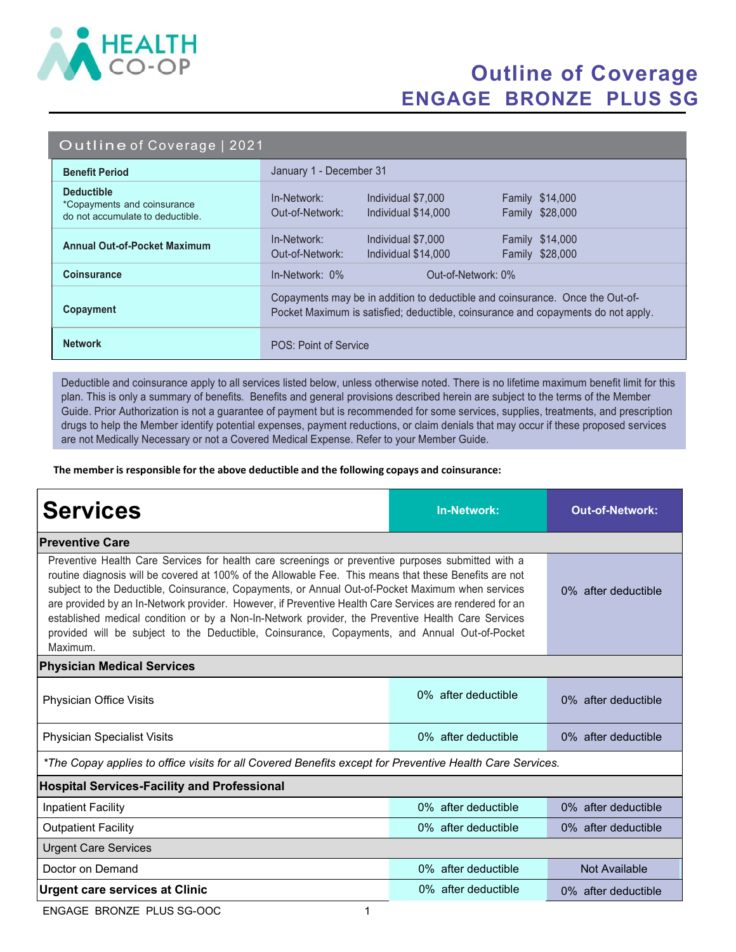

## Outline of Coverage ENGAGE BRONZE PLUS SG

|  |  |  | Outline of Coverage   2021 |
|--|--|--|----------------------------|
|  |  |  |                            |

| <b>Benefit Period</b>                                                                | January 1 - December 31                                                                                                                                            |  |  |
|--------------------------------------------------------------------------------------|--------------------------------------------------------------------------------------------------------------------------------------------------------------------|--|--|
| <b>Deductible</b><br>*Copayments and coinsurance<br>do not accumulate to deductible. | In-Network:<br>Individual \$7,000<br><b>Family \$14,000</b><br>Family \$28,000<br>Out-of-Network:<br>Individual \$14,000                                           |  |  |
| <b>Annual Out-of-Pocket Maximum</b>                                                  | In-Network:<br><b>Family \$14,000</b><br>Individual \$7,000<br>Family \$28,000<br>Out-of-Network:<br>Individual \$14,000                                           |  |  |
| <b>Coinsurance</b>                                                                   | $In-Network: 0\%$<br>Out-of-Network: 0%                                                                                                                            |  |  |
| Copayment                                                                            | Copayments may be in addition to deductible and coinsurance. Once the Out-of-<br>Pocket Maximum is satisfied; deductible, coinsurance and copayments do not apply. |  |  |
| <b>Network</b>                                                                       | POS: Point of Service                                                                                                                                              |  |  |

Deductible and coinsurance apply to all services listed below, unless otherwise noted. There is no lifetime maximum benefit limit for this plan. This is only a summary of benefits. Benefits and general provisions described herein are subject to the terms of the Member Guide. Prior Authorization is not a guarantee of payment but is recommended for some services, supplies, treatments, and prescription drugs to help the Member identify potential expenses, payment reductions, or claim denials that may occur if these proposed services are not Medically Necessary or not a Covered Medical Expense. Refer to your Member Guide.

The member is responsible for the above deductible and the following copays and coinsurance:

| <b>Services</b>                                                                                                                                                                                                                                                                                                                                                                                                                                                                                                                                                                                                                                 | <b>In-Network:</b>  | <b>Out-of-Network:</b> |  |  |  |  |
|-------------------------------------------------------------------------------------------------------------------------------------------------------------------------------------------------------------------------------------------------------------------------------------------------------------------------------------------------------------------------------------------------------------------------------------------------------------------------------------------------------------------------------------------------------------------------------------------------------------------------------------------------|---------------------|------------------------|--|--|--|--|
| <b>Preventive Care</b>                                                                                                                                                                                                                                                                                                                                                                                                                                                                                                                                                                                                                          |                     |                        |  |  |  |  |
| Preventive Health Care Services for health care screenings or preventive purposes submitted with a<br>routine diagnosis will be covered at 100% of the Allowable Fee. This means that these Benefits are not<br>subject to the Deductible, Coinsurance, Copayments, or Annual Out-of-Pocket Maximum when services<br>are provided by an In-Network provider. However, if Preventive Health Care Services are rendered for an<br>established medical condition or by a Non-In-Network provider, the Preventive Health Care Services<br>provided will be subject to the Deductible, Coinsurance, Copayments, and Annual Out-of-Pocket<br>Maximum. | 0% after deductible |                        |  |  |  |  |
| <b>Physician Medical Services</b>                                                                                                                                                                                                                                                                                                                                                                                                                                                                                                                                                                                                               |                     |                        |  |  |  |  |
| Physician Office Visits                                                                                                                                                                                                                                                                                                                                                                                                                                                                                                                                                                                                                         | 0% after deductible | 0% after deductible    |  |  |  |  |
| <b>Physician Specialist Visits</b>                                                                                                                                                                                                                                                                                                                                                                                                                                                                                                                                                                                                              | 0% after deductible | 0% after deductible    |  |  |  |  |
| *The Copay applies to office visits for all Covered Benefits except for Preventive Health Care Services.                                                                                                                                                                                                                                                                                                                                                                                                                                                                                                                                        |                     |                        |  |  |  |  |
| <b>Hospital Services-Facility and Professional</b>                                                                                                                                                                                                                                                                                                                                                                                                                                                                                                                                                                                              |                     |                        |  |  |  |  |
| <b>Inpatient Facility</b>                                                                                                                                                                                                                                                                                                                                                                                                                                                                                                                                                                                                                       | 0% after deductible | 0% after deductible    |  |  |  |  |
| <b>Outpatient Facility</b>                                                                                                                                                                                                                                                                                                                                                                                                                                                                                                                                                                                                                      | 0% after deductible | 0% after deductible    |  |  |  |  |
| <b>Urgent Care Services</b>                                                                                                                                                                                                                                                                                                                                                                                                                                                                                                                                                                                                                     |                     |                        |  |  |  |  |
| Doctor on Demand                                                                                                                                                                                                                                                                                                                                                                                                                                                                                                                                                                                                                                | 0% after deductible | Not Available          |  |  |  |  |
| <b>Urgent care services at Clinic</b>                                                                                                                                                                                                                                                                                                                                                                                                                                                                                                                                                                                                           | 0% after deductible | 0% after deductible    |  |  |  |  |

ENGAGE BRONZE PLUS SG-OOC 1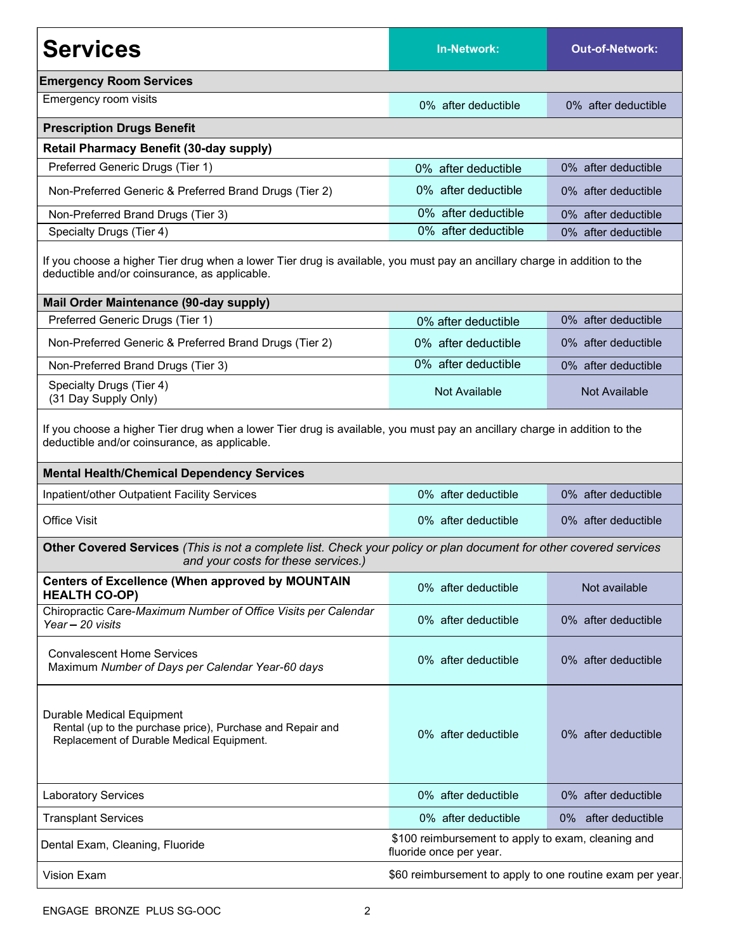| <b>Services</b>                                                                                                                                                                                                                 | <b>In-Network:</b>                                                            | <b>Out-of-Network:</b> |  |  |  |  |
|---------------------------------------------------------------------------------------------------------------------------------------------------------------------------------------------------------------------------------|-------------------------------------------------------------------------------|------------------------|--|--|--|--|
| <b>Emergency Room Services</b>                                                                                                                                                                                                  |                                                                               |                        |  |  |  |  |
| Emergency room visits                                                                                                                                                                                                           | 0% after deductible                                                           | 0% after deductible    |  |  |  |  |
| <b>Prescription Drugs Benefit</b>                                                                                                                                                                                               |                                                                               |                        |  |  |  |  |
| <b>Retail Pharmacy Benefit (30-day supply)</b>                                                                                                                                                                                  |                                                                               |                        |  |  |  |  |
| Preferred Generic Drugs (Tier 1)                                                                                                                                                                                                | 0% after deductible                                                           | 0% after deductible    |  |  |  |  |
| Non-Preferred Generic & Preferred Brand Drugs (Tier 2)                                                                                                                                                                          | 0% after deductible                                                           | 0% after deductible    |  |  |  |  |
| Non-Preferred Brand Drugs (Tier 3)                                                                                                                                                                                              | 0% after deductible                                                           | 0% after deductible    |  |  |  |  |
| Specialty Drugs (Tier 4)                                                                                                                                                                                                        | 0% after deductible                                                           | 0% after deductible    |  |  |  |  |
| If you choose a higher Tier drug when a lower Tier drug is available, you must pay an ancillary charge in addition to the<br>deductible and/or coinsurance, as applicable.                                                      |                                                                               |                        |  |  |  |  |
| Mail Order Maintenance (90-day supply)                                                                                                                                                                                          |                                                                               |                        |  |  |  |  |
| Preferred Generic Drugs (Tier 1)                                                                                                                                                                                                | 0% after deductible                                                           | 0% after deductible    |  |  |  |  |
| Non-Preferred Generic & Preferred Brand Drugs (Tier 2)                                                                                                                                                                          | 0% after deductible                                                           | 0% after deductible    |  |  |  |  |
| Non-Preferred Brand Drugs (Tier 3)                                                                                                                                                                                              | 0% after deductible                                                           | 0% after deductible    |  |  |  |  |
| Specialty Drugs (Tier 4)<br>(31 Day Supply Only)                                                                                                                                                                                | Not Available                                                                 | Not Available          |  |  |  |  |
| If you choose a higher Tier drug when a lower Tier drug is available, you must pay an ancillary charge in addition to the<br>deductible and/or coinsurance, as applicable.<br><b>Mental Health/Chemical Dependency Services</b> |                                                                               |                        |  |  |  |  |
| Inpatient/other Outpatient Facility Services                                                                                                                                                                                    | 0% after deductible                                                           | 0% after deductible    |  |  |  |  |
| <b>Office Visit</b>                                                                                                                                                                                                             | 0% after deductible                                                           | 0% after deductible    |  |  |  |  |
| Other Covered Services (This is not a complete list. Check your policy or plan document for other covered services<br>and your costs for these services.)                                                                       |                                                                               |                        |  |  |  |  |
| <b>Centers of Excellence (When approved by MOUNTAIN</b><br><b>HEALTH CO-OP)</b>                                                                                                                                                 | 0% after deductible                                                           | Not available          |  |  |  |  |
| Chiropractic Care-Maximum Number of Office Visits per Calendar<br>Year - 20 visits                                                                                                                                              | 0% after deductible                                                           | 0% after deductible    |  |  |  |  |
| <b>Convalescent Home Services</b><br>Maximum Number of Days per Calendar Year-60 days                                                                                                                                           | 0% after deductible                                                           | 0% after deductible    |  |  |  |  |
| Durable Medical Equipment<br>Rental (up to the purchase price), Purchase and Repair and<br>Replacement of Durable Medical Equipment.                                                                                            | 0% after deductible                                                           | 0% after deductible    |  |  |  |  |
| <b>Laboratory Services</b>                                                                                                                                                                                                      | 0% after deductible                                                           | 0% after deductible    |  |  |  |  |
| <b>Transplant Services</b>                                                                                                                                                                                                      | 0% after deductible                                                           | 0% after deductible    |  |  |  |  |
| Dental Exam, Cleaning, Fluoride                                                                                                                                                                                                 | \$100 reimbursement to apply to exam, cleaning and<br>fluoride once per year. |                        |  |  |  |  |
| Vision Exam                                                                                                                                                                                                                     | \$60 reimbursement to apply to one routine exam per year.                     |                        |  |  |  |  |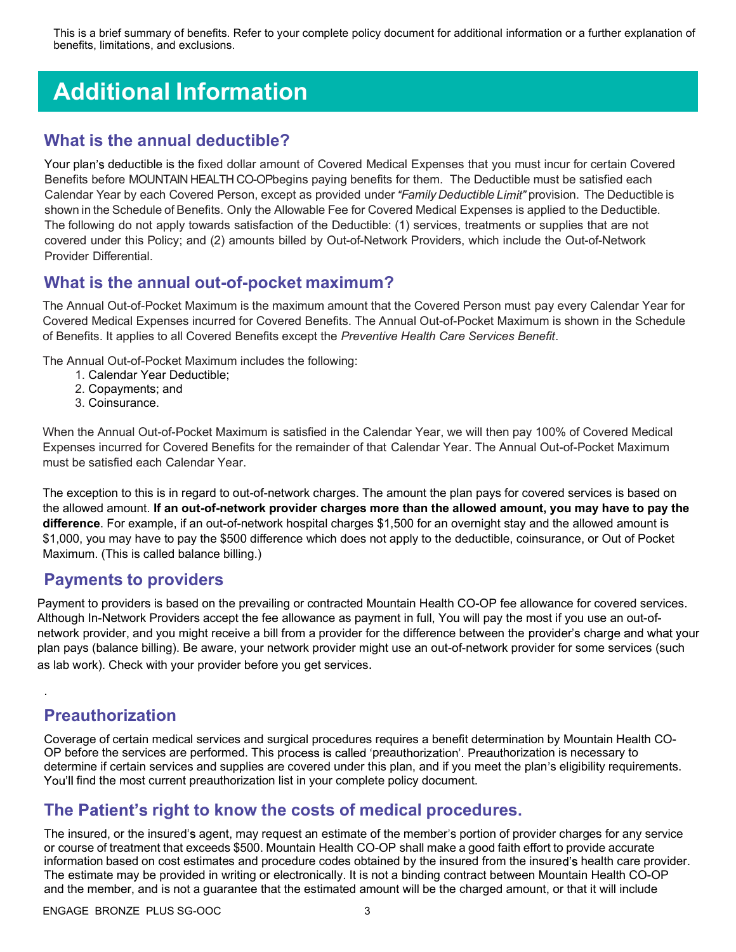This is a brief summary of benefits. Refer to your complete policy document for additional information or a further explanation of benefits, limitations, and exclusions.

# Additional Information

#### What is the annual deductible?

Your plan's deductible is the fixed dollar amount of Covered Medical Expenses that you must incur for certain Covered Benefits before MOUNTAIN HEALTH CO-OPbegins paying benefits for them. The Deductible must be satisfied each Calendar Year by each Covered Person, except as provided under "Family Deductible Limit" provision. The Deductible is shown in the Schedule of Benefits. Only the Allowable Fee for Covered Medical Expenses is applied to the Deductible. The following do not apply towards satisfaction of the Deductible: (1) services, treatments or supplies that are not covered under this Policy; and (2) amounts billed by Out-of-Network Providers, which include the Out-of-Network Provider Differential.

#### What is the annual out-of-pocket maximum?

The Annual Out-of-Pocket Maximum is the maximum amount that the Covered Person must pay every Calendar Year for Covered Medical Expenses incurred for Covered Benefits. The Annual Out-of-Pocket Maximum is shown in the Schedule of Benefits. It applies to all Covered Benefits except the Preventive Health Care Services Benefit.

The Annual Out-of-Pocket Maximum includes the following:

- 1. Calendar Year Deductible;
- 2. Copayments; and
- 3. Coinsurance.

When the Annual Out-of-Pocket Maximum is satisfied in the Calendar Year, we will then pay 100% of Covered Medical Expenses incurred for Covered Benefits for the remainder of that Calendar Year. The Annual Out-of-Pocket Maximum must be satisfied each Calendar Year.

The exception to this is in regard to out-of-network charges. The amount the plan pays for covered services is based on the allowed amount. If an out-of-network provider charges more than the allowed amount, you may have to pay the difference. For example, if an out-of-network hospital charges \$1,500 for an overnight stay and the allowed amount is \$1,000, you may have to pay the \$500 difference which does not apply to the deductible, coinsurance, or Out of Pocket Maximum. (This is called balance billing.)

#### Payments to providers

Payment to providers is based on the prevailing or contracted Mountain Health CO-OP fee allowance for covered services. Although In-Network Providers accept the fee allowance as payment in full, You will pay the most if you use an out-ofnetwork provider, and you might receive a bill from a provider for the difference between the provider's charge and what your plan pays (balance billing). Be aware, your network provider might use an out-of-network provider for some services (such as lab work). Check with your provider before you get services.

### Preauthorization

.

Coverage of certain medical services and surgical procedures requires a benefit determination by Mountain Health CO-OP before the services are performed. This process is called 'preauthorization'. Preauthorization is necessary to determine if certain services and supplies are covered under this plan, and if you meet the plan's eligibility requirements. You'll find the most current preauthorization list in your complete policy document.

#### The Patient's right to know the costs of medical procedures.

The insured, or the insured's agent, may request an estimate of the member's portion of provider charges for any service or course of treatment that exceeds \$500. Mountain Health CO-OP shall make a good faith effort to provide accurate information based on cost estimates and procedure codes obtained by the insured from the insured's health care provider. The estimate may be provided in writing or electronically. It is not a binding contract between Mountain Health CO-OP and the member, and is not a guarantee that the estimated amount will be the charged amount, or that it will include

ENGAGE BRONZE PLUS SG-OOC 3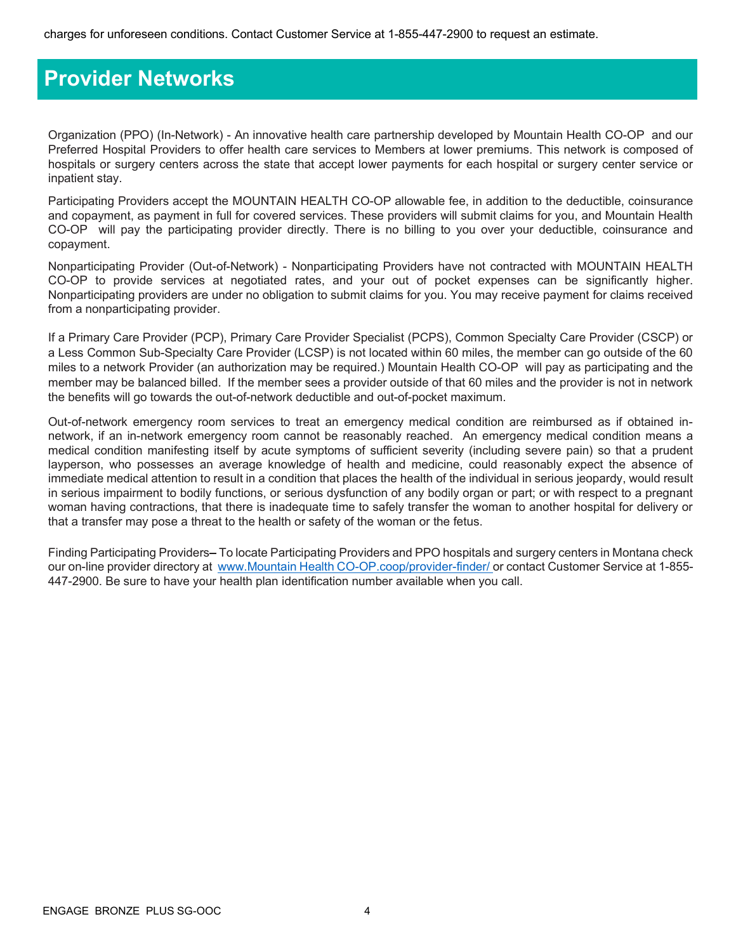### Provider Networks

Organization (PPO) (In-Network) - An innovative health care partnership developed by Mountain Health CO-OP and our Preferred Hospital Providers to offer health care services to Members at lower premiums. This network is composed of hospitals or surgery centers across the state that accept lower payments for each hospital or surgery center service or inpatient stay.

Participating Providers accept the MOUNTAIN HEALTH CO-OP allowable fee, in addition to the deductible, coinsurance and copayment, as payment in full for covered services. These providers will submit claims for you, and Mountain Health CO-OP will pay the participating provider directly. There is no billing to you over your deductible, coinsurance and copayment.

Nonparticipating Provider (Out-of-Network) - Nonparticipating Providers have not contracted with MOUNTAIN HEALTH CO-OP to provide services at negotiated rates, and your out of pocket expenses can be significantly higher. Nonparticipating providers are under no obligation to submit claims for you. You may receive payment for claims received from a nonparticipating provider.

If a Primary Care Provider (PCP), Primary Care Provider Specialist (PCPS), Common Specialty Care Provider (CSCP) or a Less Common Sub-Specialty Care Provider (LCSP) is not located within 60 miles, the member can go outside of the 60 miles to a network Provider (an authorization may be required.) Mountain Health CO-OP will pay as participating and the member may be balanced billed. If the member sees a provider outside of that 60 miles and the provider is not in network the benefits will go towards the out-of-network deductible and out-of-pocket maximum.

Out-of-network emergency room services to treat an emergency medical condition are reimbursed as if obtained innetwork, if an in-network emergency room cannot be reasonably reached. An emergency medical condition means a medical condition manifesting itself by acute symptoms of sufficient severity (including severe pain) so that a prudent layperson, who possesses an average knowledge of health and medicine, could reasonably expect the absence of immediate medical attention to result in a condition that places the health of the individual in serious jeopardy, would result in serious impairment to bodily functions, or serious dysfunction of any bodily organ or part; or with respect to a pregnant woman having contractions, that there is inadequate time to safely transfer the woman to another hospital for delivery or that a transfer may pose a threat to the health or safety of the woman or the fetus.

Finding Participating Providers–To locate Participating Providers and PPO hospitals and surgery centers in Montana check our on-line provider directory at www.Mountain Health CO-OP.coop/provider-finder/ or contact Customer Service at 1-855-447-2900. Be sure to have your health plan identification number available when you call.